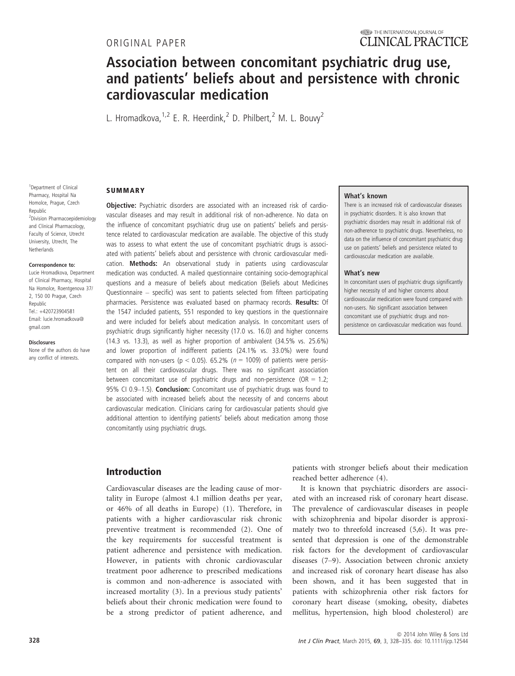**SUMMARY** 

# Association between concomitant psychiatric drug use, and patients' beliefs about and persistence with chronic cardiovascular medication

L. Hromadkova, <sup>1,2</sup> F. R. Heerdink, <sup>2</sup> D. Philbert, <sup>2</sup> M. L. Bouvy<sup>2</sup>

#### 1 Department of Clinical Pharmacy, Hospital Na Homolce, Prague, Czech Republic 2 Division Pharmacoepidemiology and Clinical Pharmacology, Faculty of Science, Utrecht University, Utrecht, The **Netherlands**

#### Correspondence to:

Lucie Hromadkova, Department of Clinical Pharmacy, Hospital Na Homolce, Roentgenova 37/ 2, 150 00 Prague, Czech Republic Tel.: +420723904581 Email: lucie.hromadkova@ gmail.com

Disclosures

None of the authors do have any conflict of interests.

Objective: Psychiatric disorders are associated with an increased risk of cardiovascular diseases and may result in additional risk of non-adherence. No data on the influence of concomitant psychiatric drug use on patients' beliefs and persistence related to cardiovascular medication are available. The objective of this study was to assess to what extent the use of concomitant psychiatric drugs is associated with patients' beliefs about and persistence with chronic cardiovascular medication. Methods: An observational study in patients using cardiovascular medication was conducted. A mailed questionnaire containing socio-demographical questions and a measure of beliefs about medication (Beliefs about Medicines Questionnaire – specific) was sent to patients selected from fifteen participating pharmacies. Persistence was evaluated based on pharmacy records. Results: Of the 1547 included patients, 551 responded to key questions in the questionnaire and were included for beliefs about medication analysis. In concomitant users of psychiatric drugs significantly higher necessity (17.0 vs. 16.0) and higher concerns (14.3 vs. 13.3), as well as higher proportion of ambivalent (34.5% vs. 25.6%) and lower proportion of indifferent patients (24.1% vs. 33.0%) were found compared with non-users ( $p < 0.05$ ). 65.2% ( $n = 1009$ ) of patients were persistent on all their cardiovascular drugs. There was no significant association between concomitant use of psychiatric drugs and non-persistence (OR = 1.2; 95% CI 0.9-1.5). **Conclusion:** Concomitant use of psychiatric drugs was found to be associated with increased beliefs about the necessity of and concerns about cardiovascular medication. Clinicians caring for cardiovascular patients should give additional attention to identifying patients' beliefs about medication among those concomitantly using psychiatric drugs.

## Introduction

Cardiovascular diseases are the leading cause of mortality in Europe (almost 4.1 million deaths per year, or 46% of all deaths in Europe) (1). Therefore, in patients with a higher cardiovascular risk chronic preventive treatment is recommended (2). One of the key requirements for successful treatment is patient adherence and persistence with medication. However, in patients with chronic cardiovascular treatment poor adherence to prescribed medications is common and non-adherence is associated with increased mortality (3). In a previous study patients' beliefs about their chronic medication were found to be a strong predictor of patient adherence, and

#### What's known

There is an increased risk of cardiovascular diseases in psychiatric disorders. It is also known that psychiatric disorders may result in additional risk of non-adherence to psychiatric drugs. Nevertheless, no data on the influence of concomitant psychiatric drug use on patients' beliefs and persistence related to cardiovascular medication are available.

#### What's new

In concomitant users of psychiatric drugs significantly higher necessity of and higher concerns about cardiovascular medication were found compared with non-users. No significant association between concomitant use of psychiatric drugs and nonpersistence on cardiovascular medication was found.

patients with stronger beliefs about their medication reached better adherence (4).

It is known that psychiatric disorders are associated with an increased risk of coronary heart disease. The prevalence of cardiovascular diseases in people with schizophrenia and bipolar disorder is approximately two to threefold increased (5,6). It was presented that depression is one of the demonstrable risk factors for the development of cardiovascular diseases (7–9). Association between chronic anxiety and increased risk of coronary heart disease has also been shown, and it has been suggested that in patients with schizophrenia other risk factors for coronary heart disease (smoking, obesity, diabetes mellitus, hypertension, high blood cholesterol) are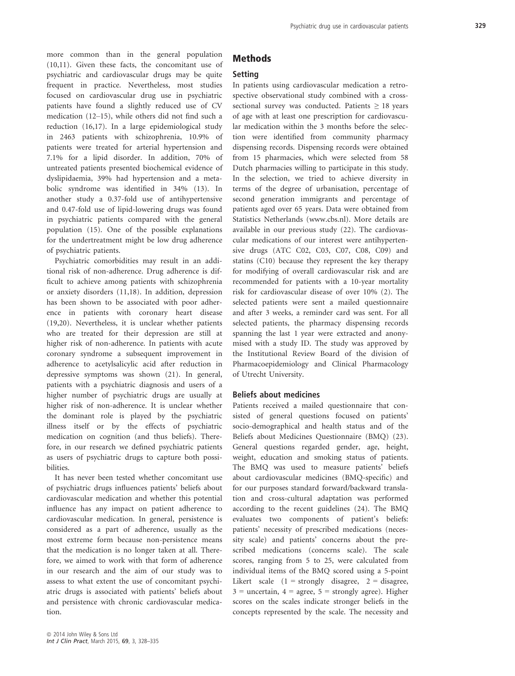more common than in the general population (10,11). Given these facts, the concomitant use of psychiatric and cardiovascular drugs may be quite frequent in practice. Nevertheless, most studies focused on cardiovascular drug use in psychiatric patients have found a slightly reduced use of CV medication (12–15), while others did not find such a reduction (16,17). In a large epidemiological study in 2463 patients with schizophrenia, 10.9% of patients were treated for arterial hypertension and 7.1% for a lipid disorder. In addition, 70% of untreated patients presented biochemical evidence of dyslipidaemia, 39% had hypertension and a metabolic syndrome was identified in 34% (13). In another study a 0.37-fold use of antihypertensive and 0.47-fold use of lipid-lowering drugs was found in psychiatric patients compared with the general population (15). One of the possible explanations for the undertreatment might be low drug adherence of psychiatric patients.

Psychiatric comorbidities may result in an additional risk of non-adherence. Drug adherence is difficult to achieve among patients with schizophrenia or anxiety disorders (11,18). In addition, depression has been shown to be associated with poor adherence in patients with coronary heart disease (19,20). Nevertheless, it is unclear whether patients who are treated for their depression are still at higher risk of non-adherence. In patients with acute coronary syndrome a subsequent improvement in adherence to acetylsalicylic acid after reduction in depressive symptoms was shown (21). In general, patients with a psychiatric diagnosis and users of a higher number of psychiatric drugs are usually at higher risk of non-adherence. It is unclear whether the dominant role is played by the psychiatric illness itself or by the effects of psychiatric medication on cognition (and thus beliefs). Therefore, in our research we defined psychiatric patients as users of psychiatric drugs to capture both possibilities.

It has never been tested whether concomitant use of psychiatric drugs influences patients' beliefs about cardiovascular medication and whether this potential influence has any impact on patient adherence to cardiovascular medication. In general, persistence is considered as a part of adherence, usually as the most extreme form because non-persistence means that the medication is no longer taken at all. Therefore, we aimed to work with that form of adherence in our research and the aim of our study was to assess to what extent the use of concomitant psychiatric drugs is associated with patients' beliefs about and persistence with chronic cardiovascular medication.

## Methods

# Setting

In patients using cardiovascular medication a retrospective observational study combined with a crosssectional survey was conducted. Patients  $\geq 18$  years of age with at least one prescription for cardiovascular medication within the 3 months before the selection were identified from community pharmacy dispensing records. Dispensing records were obtained from 15 pharmacies, which were selected from 58 Dutch pharmacies willing to participate in this study. In the selection, we tried to achieve diversity in terms of the degree of urbanisation, percentage of second generation immigrants and percentage of patients aged over 65 years. Data were obtained from Statistics Netherlands (www.cbs.nl). More details are available in our previous study (22). The cardiovascular medications of our interest were antihypertensive drugs (ATC C02, C03, C07, C08, C09) and statins (C10) because they represent the key therapy for modifying of overall cardiovascular risk and are recommended for patients with a 10-year mortality risk for cardiovascular disease of over 10% (2). The selected patients were sent a mailed questionnaire and after 3 weeks, a reminder card was sent. For all selected patients, the pharmacy dispensing records spanning the last 1 year were extracted and anonymised with a study ID. The study was approved by the Institutional Review Board of the division of Pharmacoepidemiology and Clinical Pharmacology of Utrecht University.

## Beliefs about medicines

Patients received a mailed questionnaire that consisted of general questions focused on patients' socio-demographical and health status and of the Beliefs about Medicines Questionnaire (BMQ) (23). General questions regarded gender, age, height, weight, education and smoking status of patients. The BMQ was used to measure patients' beliefs about cardiovascular medicines (BMQ-specific) and for our purposes standard forward/backward translation and cross-cultural adaptation was performed according to the recent guidelines (24). The BMQ evaluates two components of patient's beliefs: patients' necessity of prescribed medications (necessity scale) and patients' concerns about the prescribed medications (concerns scale). The scale scores, ranging from 5 to 25, were calculated from individual items of the BMQ scored using a 5-point Likert scale  $(1 =$  strongly disagree,  $2 =$  disagree,  $3 =$  uncertain,  $4 =$  agree,  $5 =$  strongly agree). Higher scores on the scales indicate stronger beliefs in the concepts represented by the scale. The necessity and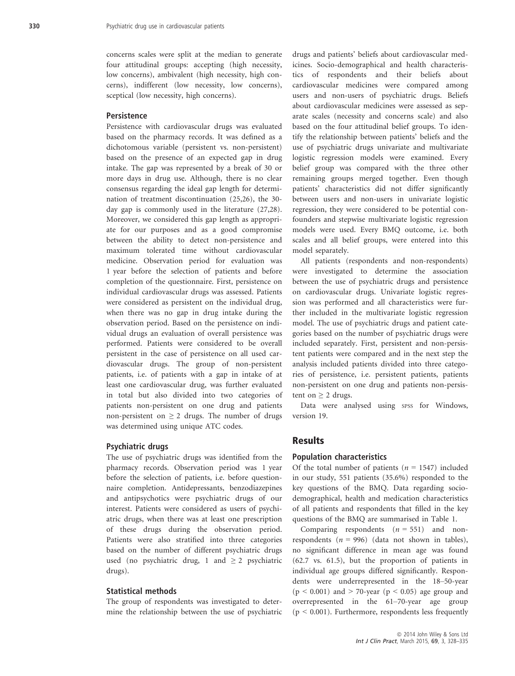concerns scales were split at the median to generate four attitudinal groups: accepting (high necessity, low concerns), ambivalent (high necessity, high concerns), indifferent (low necessity, low concerns), sceptical (low necessity, high concerns).

#### **Persistence**

Persistence with cardiovascular drugs was evaluated based on the pharmacy records. It was defined as a dichotomous variable (persistent vs. non-persistent) based on the presence of an expected gap in drug intake. The gap was represented by a break of 30 or more days in drug use. Although, there is no clear consensus regarding the ideal gap length for determination of treatment discontinuation (25,26), the 30 day gap is commonly used in the literature (27,28). Moreover, we considered this gap length as appropriate for our purposes and as a good compromise between the ability to detect non-persistence and maximum tolerated time without cardiovascular medicine. Observation period for evaluation was 1 year before the selection of patients and before completion of the questionnaire. First, persistence on individual cardiovascular drugs was assessed. Patients were considered as persistent on the individual drug, when there was no gap in drug intake during the observation period. Based on the persistence on individual drugs an evaluation of overall persistence was performed. Patients were considered to be overall persistent in the case of persistence on all used cardiovascular drugs. The group of non-persistent patients, i.e. of patients with a gap in intake of at least one cardiovascular drug, was further evaluated in total but also divided into two categories of patients non-persistent on one drug and patients non-persistent on  $\geq 2$  drugs. The number of drugs was determined using unique ATC codes.

#### Psychiatric drugs

The use of psychiatric drugs was identified from the pharmacy records. Observation period was 1 year before the selection of patients, i.e. before questionnaire completion. Antidepressants, benzodiazepines and antipsychotics were psychiatric drugs of our interest. Patients were considered as users of psychiatric drugs, when there was at least one prescription of these drugs during the observation period. Patients were also stratified into three categories based on the number of different psychiatric drugs used (no psychiatric drug, 1 and  $\geq 2$  psychiatric drugs).

#### Statistical methods

The group of respondents was investigated to determine the relationship between the use of psychiatric drugs and patients' beliefs about cardiovascular medicines. Socio-demographical and health characteristics of respondents and their beliefs about cardiovascular medicines were compared among users and non-users of psychiatric drugs. Beliefs about cardiovascular medicines were assessed as separate scales (necessity and concerns scale) and also based on the four attitudinal belief groups. To identify the relationship between patients' beliefs and the use of psychiatric drugs univariate and multivariate logistic regression models were examined. Every belief group was compared with the three other remaining groups merged together. Even though patients' characteristics did not differ significantly between users and non-users in univariate logistic regression, they were considered to be potential confounders and stepwise multivariate logistic regression models were used. Every BMQ outcome, i.e. both scales and all belief groups, were entered into this model separately.

All patients (respondents and non-respondents) were investigated to determine the association between the use of psychiatric drugs and persistence on cardiovascular drugs. Univariate logistic regression was performed and all characteristics were further included in the multivariate logistic regression model. The use of psychiatric drugs and patient categories based on the number of psychiatric drugs were included separately. First, persistent and non-persistent patients were compared and in the next step the analysis included patients divided into three categories of persistence, i.e. persistent patients, patients non-persistent on one drug and patients non-persistent on  $\geq 2$  drugs.

Data were analysed using spss for Windows, version 19.

## Results

## Population characteristics

Of the total number of patients ( $n = 1547$ ) included in our study, 551 patients (35.6%) responded to the key questions of the BMQ. Data regarding sociodemographical, health and medication characteristics of all patients and respondents that filled in the key questions of the BMQ are summarised in Table 1.

Comparing respondents  $(n = 551)$  and nonrespondents ( $n = 996$ ) (data not shown in tables), no significant difference in mean age was found (62.7 vs. 61.5), but the proportion of patients in individual age groups differed significantly. Respondents were underrepresented in the 18–50-year  $(p < 0.001)$  and  $> 70$ -year  $(p < 0.05)$  age group and overrepresented in the 61–70-year age group  $(p < 0.001)$ . Furthermore, respondents less frequently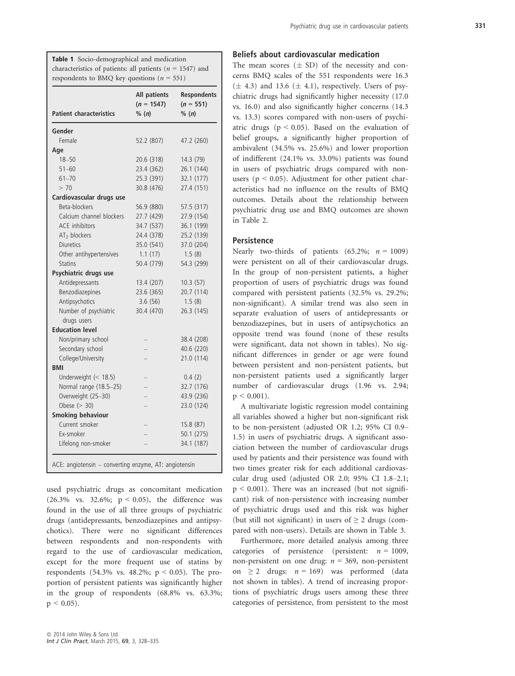| <b>Table 1</b> Socio-demographical and medication            |
|--------------------------------------------------------------|
| characteristics of patients: all patients ( $n = 1547$ ) and |
| respondents to BMQ key questions ( $n = 551$ )               |

| <b>Patient characteristics</b> | <b>All patients</b><br>$(n = 1547)$<br>% (n) | <b>Respondents</b><br>$(n = 551)$<br>% (n) |
|--------------------------------|----------------------------------------------|--------------------------------------------|
| Gender                         |                                              |                                            |
| Female                         | 52.2 (807)                                   | 47.2 (260)                                 |
| Age                            |                                              |                                            |
| $18 - 50$                      | 20.6 (318)                                   | 14.3 (79)                                  |
| $51 - 60$                      | 23.4 (362)                                   | 26.1 (144)                                 |
| $61 - 70$                      | 25.3 (391)                                   | 32.1 (177)                                 |
| > 70                           | 30.8 (476)                                   | 27.4 (151)                                 |
| Cardiovascular drugs use       |                                              |                                            |
| Beta-blockers                  | 56.9 (880)                                   | 57.5 (317)                                 |
| Calcium channel blockers       | 27.7 (429)                                   | 27.9 (154)                                 |
| <b>ACE</b> inhibitors          | 34.7 (537)                                   | 36.1 (199)                                 |
| AT <sub>2</sub> blockers       | 24.4 (378)                                   | 25.2 (139)                                 |
| <b>Diuretics</b>               | 35.0 (541)                                   | 37.0 (204)                                 |
| Other antihypertensives        | 1.1(17)                                      | 1.5(8)                                     |
| <b>Statins</b>                 | 50.4 (779)                                   | 54.3 (299)                                 |
| Psychiatric drugs use          |                                              |                                            |
| Antidepressants                | 13.4 (207)                                   | 10.3(57)                                   |
| Benzodiazepines                | 23.6 (365)                                   | 20.7 (114)                                 |
| Antipsychotics                 | 3.6(56)                                      | 1.5(8)                                     |
| Number of psychiatric          | 30.4 (470)                                   | 26.3 (145)                                 |
| drugs users                    |                                              |                                            |
| <b>Education level</b>         |                                              |                                            |
| Non/primary school             |                                              | 38.4 (208)                                 |
| Secondary school               |                                              | 40.6 (220)                                 |
| College/University             |                                              | 21.0 (114)                                 |
| <b>BMI</b>                     |                                              |                                            |
| Underweight $(< 18.5)$         |                                              | 0.4(2)                                     |
| Normal range (18.5-25)         |                                              | 32.7 (176)                                 |
| Overweight (25-30)             |                                              | 43.9 (236)                                 |
| Obese $(> 30)$                 |                                              | 23.0 (124)                                 |
| <b>Smoking behaviour</b>       |                                              |                                            |
| Current smoker                 |                                              | 15.8 (87)                                  |
| Ex-smoker                      |                                              | 50.1 (275)                                 |
| Lifelong non-smoker            |                                              | 34.1 (187)                                 |

used psychiatric drugs as concomitant medication (26.3% vs. 32.6%;  $p < 0.05$ ), the difference was found in the use of all three groups of psychiatric drugs (antidepressants, benzodiazepines and antipsychotics). There were no significant differences between respondents and non-respondents with regard to the use of cardiovascular medication, except for the more frequent use of statins by respondents (54.3% vs. 48.2%;  $p < 0.05$ ). The proportion of persistent patients was significantly higher in the group of respondents (68.8% vs. 63.3%;  $p < 0.05$ ).

## Beliefs about cardiovascular medication

The mean scores  $(\pm SD)$  of the necessity and concerns BMQ scales of the 551 respondents were 16.3  $(\pm 4.3)$  and 13.6  $(\pm 4.1)$ , respectively. Users of psychiatric drugs had significantly higher necessity (17.0 vs. 16.0) and also significantly higher concerns (14.3 vs. 13.3) scores compared with non-users of psychiatric drugs ( $p < 0.05$ ). Based on the evaluation of belief groups, a significantly higher proportion of ambivalent (34.5% vs. 25.6%) and lower proportion of indifferent (24.1% vs. 33.0%) patients was found in users of psychiatric drugs compared with nonusers ( $p < 0.05$ ). Adjustment for other patient characteristics had no influence on the results of BMQ outcomes. Details about the relationship between psychiatric drug use and BMQ outcomes are shown in Table 2.

#### **Persistence**

Nearly two-thirds of patients (65.2%;  $n = 1009$ ) were persistent on all of their cardiovascular drugs. In the group of non-persistent patients, a higher proportion of users of psychiatric drugs was found compared with persistent patients (32.5% vs. 29.2%; non-significant). A similar trend was also seen in separate evaluation of users of antidepressants or benzodiazepines, but in users of antipsychotics an opposite trend was found (none of these results were significant, data not shown in tables). No significant differences in gender or age were found between persistent and non-persistent patients, but non-persistent patients used a significantly larger number of cardiovascular drugs (1.96 vs. 2.94;  $p \leq 0.001$ ).

A multivariate logistic regression model containing all variables showed a higher but non-significant risk to be non-persistent (adjusted OR 1.2; 95% CI 0.9– 1.5) in users of psychiatric drugs. A significant association between the number of cardiovascular drugs used by patients and their persistence was found with two times greater risk for each additional cardiovascular drug used (adjusted OR 2.0; 95% CI 1.8–2.1;  $p \le 0.001$ ). There was an increased (but not significant) risk of non-persistence with increasing number of psychiatric drugs used and this risk was higher (but still not significant) in users of  $\geq 2$  drugs (compared with non-users). Details are shown in Table 3.

Furthermore, more detailed analysis among three categories of persistence (persistent:  $n = 1009$ , non-persistent on one drug:  $n = 369$ , non-persistent on  $\geq 2$  drugs:  $n = 169$ ) was performed (data not shown in tables). A trend of increasing proportions of psychiatric drugs users among these three categories of persistence, from persistent to the most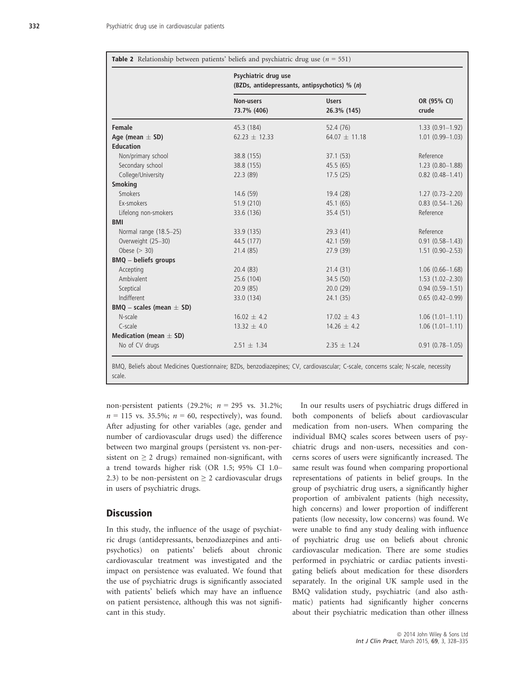|                                | Psychiatric drug use<br>(BZDs, antidepressants, antipsychotics) % (n) |                             |                      |
|--------------------------------|-----------------------------------------------------------------------|-----------------------------|----------------------|
|                                | Non-users<br>73.7% (406)                                              | <b>Users</b><br>26.3% (145) | OR (95% CI)<br>crude |
| Female                         | 45.3 (184)                                                            | 52.4 (76)                   | $1.33(0.91-1.92)$    |
| Age (mean $\pm$ SD)            | $62.23 \pm 12.33$                                                     | 64.07 $\pm$ 11.18           | $1.01(0.99 - 1.03)$  |
| <b>Education</b>               |                                                                       |                             |                      |
| Non/primary school             | 38.8 (155)                                                            | 37.1(53)                    | Reference            |
| Secondary school               | 38.8 (155)                                                            | 45.5(65)                    | $1.23(0.80-1.88)$    |
| College/University             | 22.3 (89)                                                             | 17.5(25)                    | $0.82(0.48 - 1.41)$  |
| <b>Smoking</b>                 |                                                                       |                             |                      |
| <b>Smokers</b>                 | 14.6(59)                                                              | 19.4(28)                    | $1.27(0.73 - 2.20)$  |
| Ex-smokers                     | 51.9 (210)                                                            | 45.1 (65)                   | $0.83(0.54 - 1.26)$  |
| Lifelong non-smokers           | 33.6 (136)                                                            | 35.4 (51)                   | Reference            |
| <b>BMI</b>                     |                                                                       |                             |                      |
| Normal range (18.5-25)         | 33.9 (135)                                                            | 29.3 (41)                   | Reference            |
| Overweight (25-30)             | 44.5 (177)                                                            | 42.1 (59)                   | $0.91(0.58 - 1.43)$  |
| Obese $(> 30)$                 | 21.4 (85)                                                             | 27.9 (39)                   | $1.51(0.90 - 2.53)$  |
| <b>BMQ</b> - beliefs groups    |                                                                       |                             |                      |
| Accepting                      | 20.4(83)                                                              | 21.4(31)                    | $1.06(0.66 - 1.68)$  |
| Ambivalent                     | 25.6 (104)                                                            | 34.5(50)                    | $1.53(1.02 - 2.30)$  |
| Sceptical                      | 20.9(85)                                                              | 20.0(29)                    | $0.94(0.59 - 1.51)$  |
| Indifferent                    | 33.0 (134)                                                            | 24.1(35)                    | $0.65(0.42 - 0.99)$  |
| $BMQ - scales$ (mean $\pm$ SD) |                                                                       |                             |                      |
| N-scale                        | $16.02 \pm 4.2$                                                       | $17.02 \pm 4.3$             | $1.06(1.01-1.11)$    |
| C-scale                        | $13.32 \pm 4.0$                                                       | $14.26 \pm 4.2$             | $1.06(1.01 - 1.11)$  |
| Medication (mean $\pm$ SD)     |                                                                       |                             |                      |
| No of CV drugs                 | $2.51 \pm 1.34$                                                       | $2.35 \pm 1.24$             | $0.91(0.78 - 1.05)$  |

BMQ, Beliefs about Medicines Questionnaire; BZDs, benzodiazepines; CV, cardiovascular; C-scale, concerns scale; N-scale, necessity scale.

non-persistent patients (29.2%;  $n = 295$  vs. 31.2%;  $n = 115$  vs. 35.5%;  $n = 60$ , respectively), was found. After adjusting for other variables (age, gender and number of cardiovascular drugs used) the difference between two marginal groups (persistent vs. non-persistent on  $\geq 2$  drugs) remained non-significant, with a trend towards higher risk (OR 1.5; 95% CI 1.0– 2.3) to be non-persistent on  $\geq$  2 cardiovascular drugs in users of psychiatric drugs.

# **Discussion**

In this study, the influence of the usage of psychiatric drugs (antidepressants, benzodiazepines and antipsychotics) on patients' beliefs about chronic cardiovascular treatment was investigated and the impact on persistence was evaluated. We found that the use of psychiatric drugs is significantly associated with patients' beliefs which may have an influence on patient persistence, although this was not significant in this study.

In our results users of psychiatric drugs differed in both components of beliefs about cardiovascular medication from non-users. When comparing the individual BMQ scales scores between users of psychiatric drugs and non-users, necessities and concerns scores of users were significantly increased. The same result was found when comparing proportional representations of patients in belief groups. In the group of psychiatric drug users, a significantly higher proportion of ambivalent patients (high necessity, high concerns) and lower proportion of indifferent patients (low necessity, low concerns) was found. We were unable to find any study dealing with influence of psychiatric drug use on beliefs about chronic cardiovascular medication. There are some studies performed in psychiatric or cardiac patients investigating beliefs about medication for these disorders separately. In the original UK sample used in the BMQ validation study, psychiatric (and also asthmatic) patients had significantly higher concerns about their psychiatric medication than other illness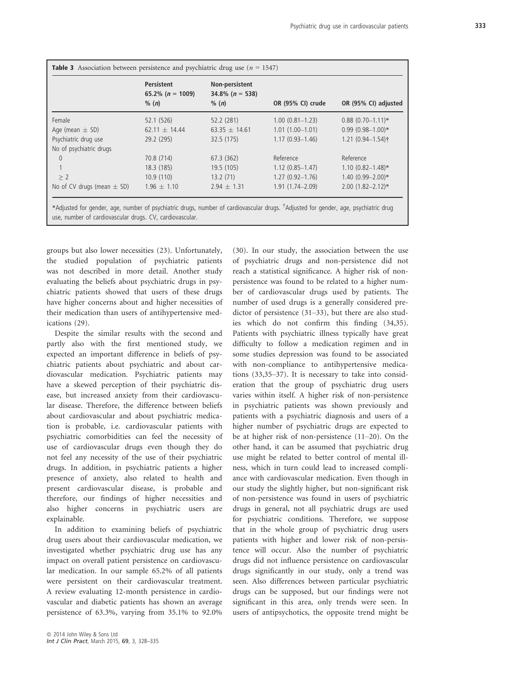|                                | Persistent<br>65.2% ( $n = 1009$ )<br>% (n) | Non-persistent<br>$34.8\%$ (n = 538)<br>% (n) | OR (95% CI) crude   | OR (95% CI) adjusted  |
|--------------------------------|---------------------------------------------|-----------------------------------------------|---------------------|-----------------------|
| Female                         | 52.1 (526)                                  | 52.2(281)                                     | $1.00(0.81 - 1.23)$ | $0.88(0.70 - 1.11)*$  |
| Age (mean $\pm$ SD)            | 62.11 $\pm$ 14.44                           | 63.35 $\pm$ 14.61                             | $1.01(1.00-1.01)$   | $0.99(0.98 - 1.00)*$  |
| Psychiatric drug use           | 29.2 (295)                                  | 32.5(175)                                     | $1.17(0.93 - 1.46)$ | $1.21(0.94 - 1.54)$ † |
| No of psychiatric drugs        |                                             |                                               |                     |                       |
| $\Omega$                       | 70.8 (714)                                  | 67.3(362)                                     | Reference           | Reference             |
|                                | 18.3(185)                                   | 19.5(105)                                     | $1.12(0.85 - 1.47)$ | $1.10(0.82 - 1.48)$ * |
| > 2                            | 10.9(110)                                   | 13.2(71)                                      | $1.27(0.92 - 1.76)$ | $1.40(0.99 - 2.00)*$  |
| No of CV drugs (mean $\pm$ SD) | $1.96 \pm 1.10$                             | $2.94 \pm 1.31$                               | $1.91(1.74 - 2.09)$ | $2.00(1.82 - 2.12)*$  |

groups but also lower necessities (23). Unfortunately, the studied population of psychiatric patients was not described in more detail. Another study evaluating the beliefs about psychiatric drugs in psychiatric patients showed that users of these drugs have higher concerns about and higher necessities of their medication than users of antihypertensive medications (29).

Despite the similar results with the second and partly also with the first mentioned study, we expected an important difference in beliefs of psychiatric patients about psychiatric and about cardiovascular medication. Psychiatric patients may have a skewed perception of their psychiatric disease, but increased anxiety from their cardiovascular disease. Therefore, the difference between beliefs about cardiovascular and about psychiatric medication is probable, i.e. cardiovascular patients with psychiatric comorbidities can feel the necessity of use of cardiovascular drugs even though they do not feel any necessity of the use of their psychiatric drugs. In addition, in psychiatric patients a higher presence of anxiety, also related to health and present cardiovascular disease, is probable and therefore, our findings of higher necessities and also higher concerns in psychiatric users are explainable.

In addition to examining beliefs of psychiatric drug users about their cardiovascular medication, we investigated whether psychiatric drug use has any impact on overall patient persistence on cardiovascular medication. In our sample 65.2% of all patients were persistent on their cardiovascular treatment. A review evaluating 12-month persistence in cardiovascular and diabetic patients has shown an average persistence of 63.3%, varying from 35.1% to 92.0% reach a statistical significance. A higher risk of nonpersistence was found to be related to a higher number of cardiovascular drugs used by patients. The number of used drugs is a generally considered predictor of persistence (31–33), but there are also studies which do not confirm this finding (34,35). Patients with psychiatric illness typically have great difficulty to follow a medication regimen and in some studies depression was found to be associated with non-compliance to antihypertensive medications (33,35–37). It is necessary to take into consideration that the group of psychiatric drug users varies within itself. A higher risk of non-persistence in psychiatric patients was shown previously and patients with a psychiatric diagnosis and users of a higher number of psychiatric drugs are expected to be at higher risk of non-persistence (11–20). On the other hand, it can be assumed that psychiatric drug use might be related to better control of mental illness, which in turn could lead to increased compliance with cardiovascular medication. Even though in our study the slightly higher, but non-significant risk of non-persistence was found in users of psychiatric drugs in general, not all psychiatric drugs are used for psychiatric conditions. Therefore, we suppose that in the whole group of psychiatric drug users patients with higher and lower risk of non-persistence will occur. Also the number of psychiatric drugs did not influence persistence on cardiovascular drugs significantly in our study, only a trend was seen. Also differences between particular psychiatric drugs can be supposed, but our findings were not significant in this area, only trends were seen. In users of antipsychotics, the opposite trend might be

(30). In our study, the association between the use of psychiatric drugs and non-persistence did not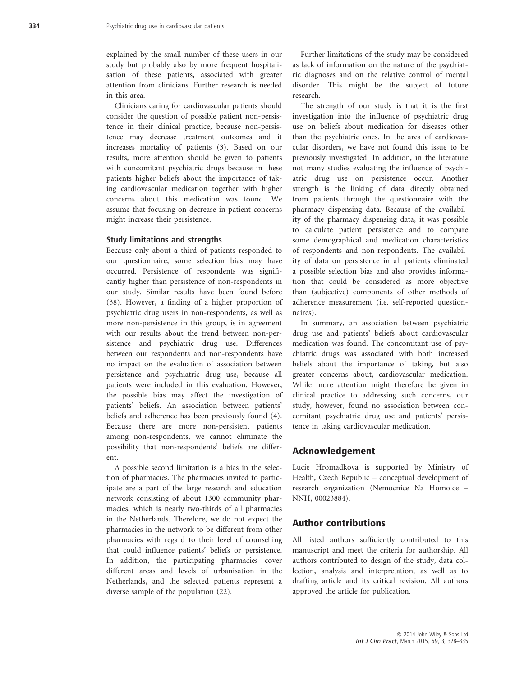explained by the small number of these users in our study but probably also by more frequent hospitalisation of these patients, associated with greater attention from clinicians. Further research is needed in this area.

Clinicians caring for cardiovascular patients should consider the question of possible patient non-persistence in their clinical practice, because non-persistence may decrease treatment outcomes and it increases mortality of patients (3). Based on our results, more attention should be given to patients with concomitant psychiatric drugs because in these patients higher beliefs about the importance of taking cardiovascular medication together with higher concerns about this medication was found. We assume that focusing on decrease in patient concerns might increase their persistence.

#### Study limitations and strengths

Because only about a third of patients responded to our questionnaire, some selection bias may have occurred. Persistence of respondents was significantly higher than persistence of non-respondents in our study. Similar results have been found before (38). However, a finding of a higher proportion of psychiatric drug users in non-respondents, as well as more non-persistence in this group, is in agreement with our results about the trend between non-persistence and psychiatric drug use. Differences between our respondents and non-respondents have no impact on the evaluation of association between persistence and psychiatric drug use, because all patients were included in this evaluation. However, the possible bias may affect the investigation of patients' beliefs. An association between patients' beliefs and adherence has been previously found (4). Because there are more non-persistent patients among non-respondents, we cannot eliminate the possibility that non-respondents' beliefs are different.

A possible second limitation is a bias in the selection of pharmacies. The pharmacies invited to participate are a part of the large research and education network consisting of about 1300 community pharmacies, which is nearly two-thirds of all pharmacies in the Netherlands. Therefore, we do not expect the pharmacies in the network to be different from other pharmacies with regard to their level of counselling that could influence patients' beliefs or persistence. In addition, the participating pharmacies cover different areas and levels of urbanisation in the Netherlands, and the selected patients represent a diverse sample of the population (22).

Further limitations of the study may be considered as lack of information on the nature of the psychiatric diagnoses and on the relative control of mental disorder. This might be the subject of future research.

The strength of our study is that it is the first investigation into the influence of psychiatric drug use on beliefs about medication for diseases other than the psychiatric ones. In the area of cardiovascular disorders, we have not found this issue to be previously investigated. In addition, in the literature not many studies evaluating the influence of psychiatric drug use on persistence occur. Another strength is the linking of data directly obtained from patients through the questionnaire with the pharmacy dispensing data. Because of the availability of the pharmacy dispensing data, it was possible to calculate patient persistence and to compare some demographical and medication characteristics of respondents and non-respondents. The availability of data on persistence in all patients eliminated a possible selection bias and also provides information that could be considered as more objective than (subjective) components of other methods of adherence measurement (i.e. self-reported questionnaires).

In summary, an association between psychiatric drug use and patients' beliefs about cardiovascular medication was found. The concomitant use of psychiatric drugs was associated with both increased beliefs about the importance of taking, but also greater concerns about, cardiovascular medication. While more attention might therefore be given in clinical practice to addressing such concerns, our study, however, found no association between concomitant psychiatric drug use and patients' persistence in taking cardiovascular medication.

## Acknowledgement

Lucie Hromadkova is supported by Ministry of Health, Czech Republic – conceptual development of research organization (Nemocnice Na Homolce – NNH, 00023884).

## Author contributions

All listed authors sufficiently contributed to this manuscript and meet the criteria for authorship. All authors contributed to design of the study, data collection, analysis and interpretation, as well as to drafting article and its critical revision. All authors approved the article for publication.